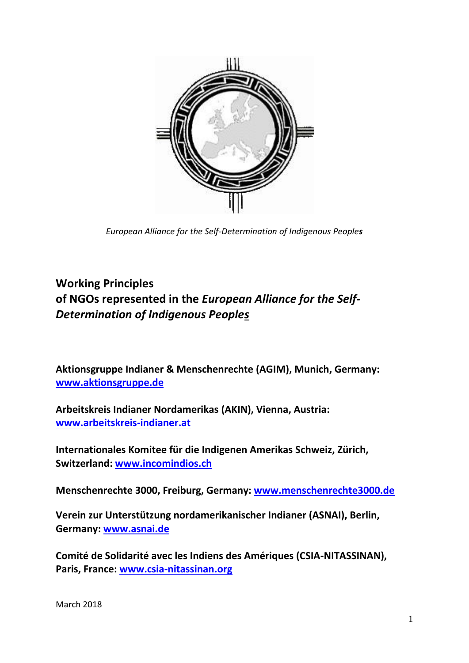

*European Alliance for the Self-Determination of Indigenous Peoples*

## **Working Principles of NGOs represented in the** *European Alliance for the Self-Determination of Indigenous Peoples*

**Aktionsgruppe Indianer & Menschenrechte (AGIM), Munich, Germany: [www.aktionsgruppe.de](http://www.aktionsgruppe.de/)**

**Arbeitskreis Indianer Nordamerikas (AKIN), Vienna, Austria: [www.arbeitskreis-indianer.at](http://www.arbeitskreis-indianer.at/)**

**Internationales Komitee für die Indigenen Amerikas Schweiz, Zürich, Switzerland: [www.incomindios.ch](http://www.incomindios.ch/)**

**Menschenrechte 3000, Freiburg, Germany: [www.menschenrechte3000.de](http://www.menschenrechte3000.de/)**

**Verein zur Unterstützung nordamerikanischer Indianer (ASNAI), Berlin, Germany: www.asnai.de**

**Comité de Solidarité avec les Indiens des Amériques (CSIA-NITASSINAN), Paris, France: www.csia-nitassinan.org**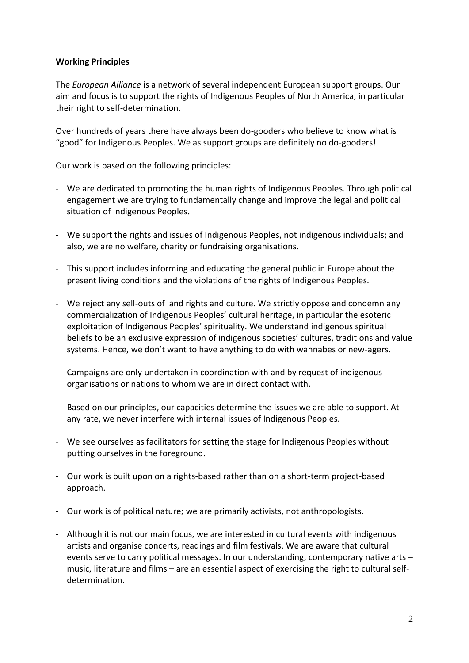## **Working Principles**

The *European Alliance* is a network of several independent European support groups. Our aim and focus is to support the rights of Indigenous Peoples of North America, in particular their right to self-determination.

Over hundreds of years there have always been do-gooders who believe to know what is "good" for Indigenous Peoples. We as support groups are definitely no do-gooders!

Our work is based on the following principles:

- We are dedicated to promoting the human rights of Indigenous Peoples. Through political engagement we are trying to fundamentally change and improve the legal and political situation of Indigenous Peoples.
- We support the rights and issues of Indigenous Peoples, not indigenous individuals; and also, we are no welfare, charity or fundraising organisations.
- This support includes informing and educating the general public in Europe about the present living conditions and the violations of the rights of Indigenous Peoples.
- We reject any sell-outs of land rights and culture. We strictly oppose and condemn any commercialization of Indigenous Peoples' cultural heritage, in particular the esoteric exploitation of Indigenous Peoples' spirituality. We understand indigenous spiritual beliefs to be an exclusive expression of indigenous societies' cultures, traditions and value systems. Hence, we don't want to have anything to do with wannabes or new-agers.
- Campaigns are only undertaken in coordination with and by request of indigenous organisations or nations to whom we are in direct contact with.
- Based on our principles, our capacities determine the issues we are able to support. At any rate, we never interfere with internal issues of Indigenous Peoples.
- We see ourselves as facilitators for setting the stage for Indigenous Peoples without putting ourselves in the foreground.
- Our work is built upon on a rights-based rather than on a short-term project-based approach.
- Our work is of political nature; we are primarily activists, not anthropologists.
- Although it is not our main focus, we are interested in cultural events with indigenous artists and organise concerts, readings and film festivals. We are aware that cultural events serve to carry political messages. In our understanding, contemporary native arts – music, literature and films – are an essential aspect of exercising the right to cultural selfdetermination.